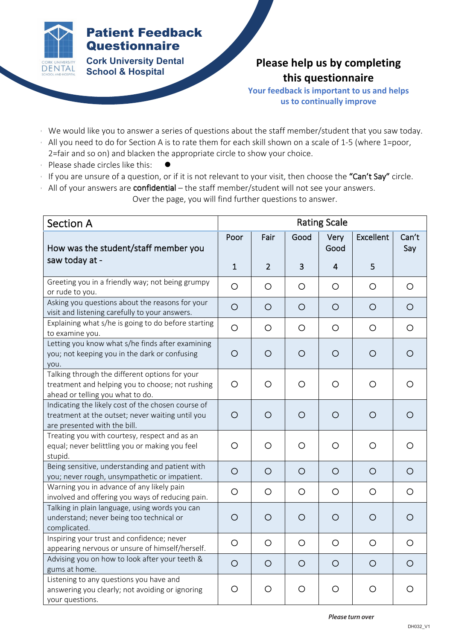

## Patient Feedback **Questionnaire**

**Cork University Dental School & Hospital**

## **Please help us by completing this questionnaire**

**Your feedback is important to us and helps us to continually improve**

- We would like you to answer a series of questions about the staff member/student that you saw today.
- All you need to do for Section A is to rate them for each skill shown on a scale of 1-5 (where 1=poor, 2=fair and so on) and blacken the appropriate circle to show your choice.
- Please shade circles like this:
- If you are unsure of a question, or if it is not relevant to your visit, then choose the "Can't Say" circle.
- All of your answers are confidential the staff member/student will not see your answers. Over the page, you will find further questions to answer.

| <b>Section A</b>                                                                                                                       | <b>Rating Scale</b> |                |         |                |                  |              |
|----------------------------------------------------------------------------------------------------------------------------------------|---------------------|----------------|---------|----------------|------------------|--------------|
| How was the student/staff member you                                                                                                   | Poor                | Fair           | Good    | Very<br>Good   | <b>Excellent</b> | Can't<br>Say |
| saw today at -                                                                                                                         | $\mathbf{1}$        | $\overline{2}$ | 3       | $\overline{4}$ | 5                |              |
| Greeting you in a friendly way; not being grumpy<br>or rude to you.                                                                    | $\circ$             | $\circ$        | $\circ$ | $\circ$        | $\circ$          | $\circ$      |
| Asking you questions about the reasons for your<br>visit and listening carefully to your answers.                                      | $\circ$             | $\circ$        | $\circ$ | $\circ$        | $\circ$          | $\circ$      |
| Explaining what s/he is going to do before starting<br>to examine you.                                                                 | $\circ$             | $\circ$        | $\circ$ | $\circ$        | $\circ$          | $\circ$      |
| Letting you know what s/he finds after examining<br>you; not keeping you in the dark or confusing<br>you.                              | $\circ$             | $\circ$        | $\circ$ | $\circ$        | $\circ$          | O            |
| Talking through the different options for your<br>treatment and helping you to choose; not rushing<br>ahead or telling you what to do. | $\circ$             | $\circ$        | $\circ$ | O              | O                | O            |
| Indicating the likely cost of the chosen course of<br>treatment at the outset; never waiting until you<br>are presented with the bill. | $\circ$             | $\circ$        | $\circ$ | $\circ$        | $\circ$          | $\circ$      |
| Treating you with courtesy, respect and as an<br>equal; never belittling you or making you feel<br>stupid.                             | $\circ$             | $\circ$        | O       | $\circ$        | O                | O            |
| Being sensitive, understanding and patient with<br>you; never rough, unsympathetic or impatient.                                       | $\circ$             | $\circ$        | $\circ$ | $\circ$        | $\circ$          | $\circ$      |
| Warning you in advance of any likely pain<br>involved and offering you ways of reducing pain.                                          | $\circ$             | $\circ$        | $\circ$ | $\circ$        | $\circ$          | $\circ$      |
| Talking in plain language, using words you can<br>understand; never being too technical or<br>complicated.                             | $\circ$             | $\circ$        | $\circ$ | $\circ$        | $\circ$          | $\circ$      |
| Inspiring your trust and confidence; never<br>appearing nervous or unsure of himself/herself.                                          | $\circ$             | $\circ$        | $\circ$ | O              | $\circ$          | $\circ$      |
| Advising you on how to look after your teeth &<br>gums at home.                                                                        | $\circ$             | $\circ$        | $\circ$ | $\circ$        | $\circ$          | $\circ$      |
| Listening to any questions you have and<br>answering you clearly; not avoiding or ignoring<br>your questions.                          | O                   | O              | $\circ$ | $\circ$        | $\circ$          | O            |